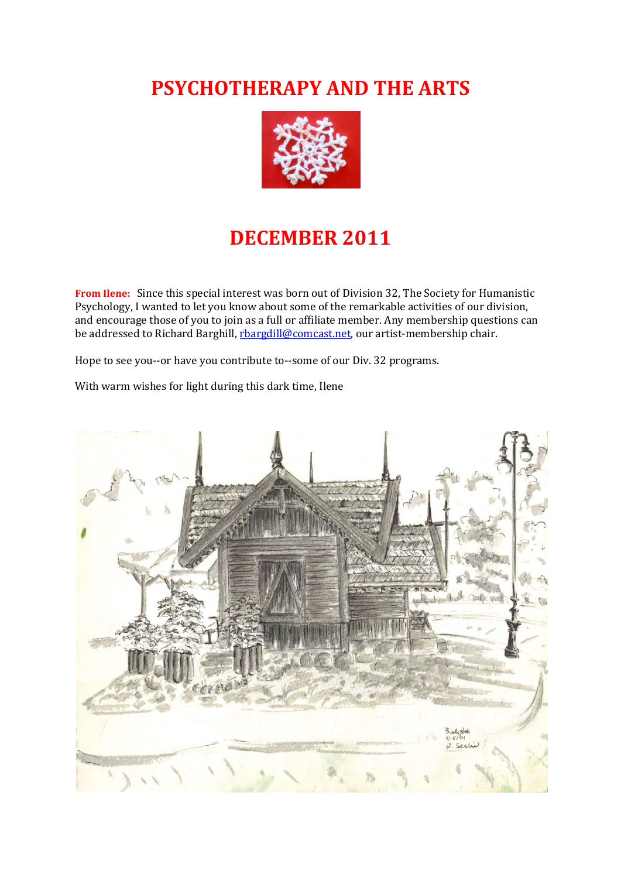# **PSYCHOTHERAPY AND THE ARTS**



## **DECEMBER 2011**

**From Ilene:** Since this special interest was born out of Division 32, The Society for Humanistic Psychology, I wanted to let you know about some of the remarkable activities of our division, and encourage those of you to join as a full or affiliate member. Any membership questions can be addressed to Richard Barghill[, rbargdill@comcast.net,](mailto:rbargdill@comcast.net) our artist-membership chair.

Hope to see you--or have you contribute to--some of our Div. 32 programs.

With warm wishes for light during this dark time, Ilene

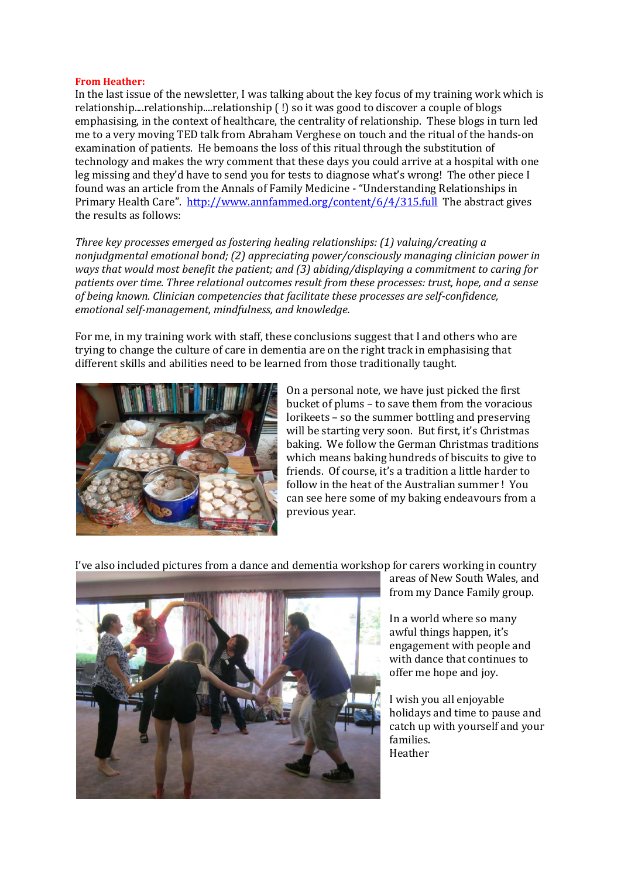#### **From Heather:**

In the last issue of the newsletter, I was talking about the key focus of my training work which is relationship....relationship....relationship ( !) so it was good to discover a couple of blogs emphasising, in the context of healthcare, the centrality of relationship. These blogs in turn led me to a very moving TED talk from Abraham Verghese on touch and the ritual of the hands-on examination of patients. He bemoans the loss of this ritual through the substitution of technology and makes the wry comment that these days you could arrive at a hospital with one leg missing and they'd have to send you for tests to diagnose what's wrong! The other piece I found was an article from the Annals of Family Medicine - "Understanding Relationships in Primary Health Care". <http://www.annfammed.org/content/6/4/315.full>The abstract gives the results as follows:

*Three key processes emerged as fostering healing relationships: (1) valuing/creating a nonjudgmental emotional bond; (2) appreciating power/consciously managing clinician power in ways that would most benefit the patient; and (3) abiding/displaying a commitment to caring for patients over time. Three relational outcomes result from these processes: trust, hope, and a sense of being known. Clinician competencies that facilitate these processes are self-confidence, emotional self-management, mindfulness, and knowledge.* 

For me, in my training work with staff, these conclusions suggest that I and others who are trying to change the culture of care in dementia are on the right track in emphasising that different skills and abilities need to be learned from those traditionally taught.



On a personal note, we have just picked the first bucket of plums – to save them from the voracious lorikeets – so the summer bottling and preserving will be starting very soon. But first, it's Christmas baking. We follow the German Christmas traditions which means baking hundreds of biscuits to give to friends. Of course, it's a tradition a little harder to follow in the heat of the Australian summer ! You can see here some of my baking endeavours from a previous year.

I've also included pictures from a dance and dementia workshop for carers working in country



areas of New South Wales, and from my Dance Family group.

In a world where so many awful things happen, it's engagement with people and with dance that continues to offer me hope and joy.

I wish you all enjoyable holidays and time to pause and catch up with yourself and your families. Heather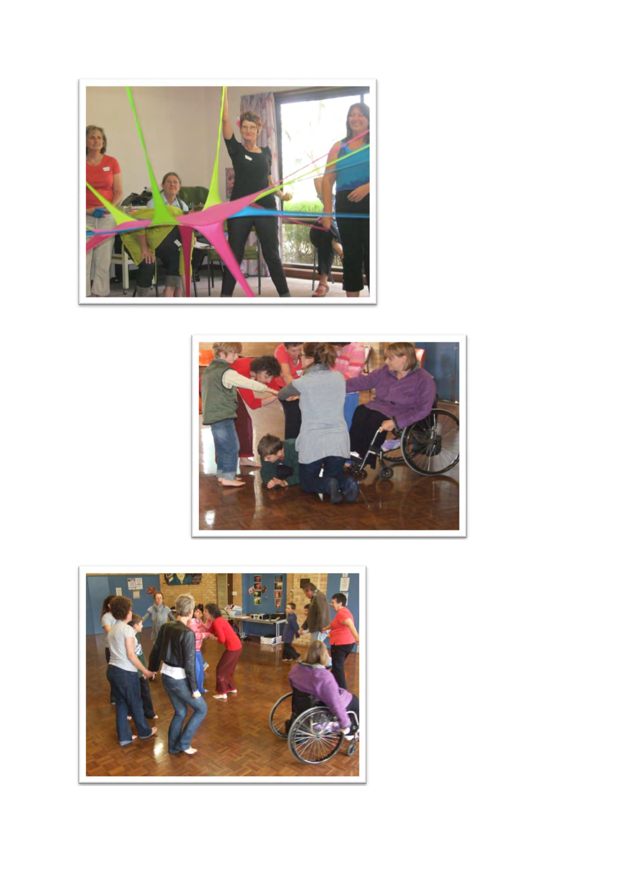



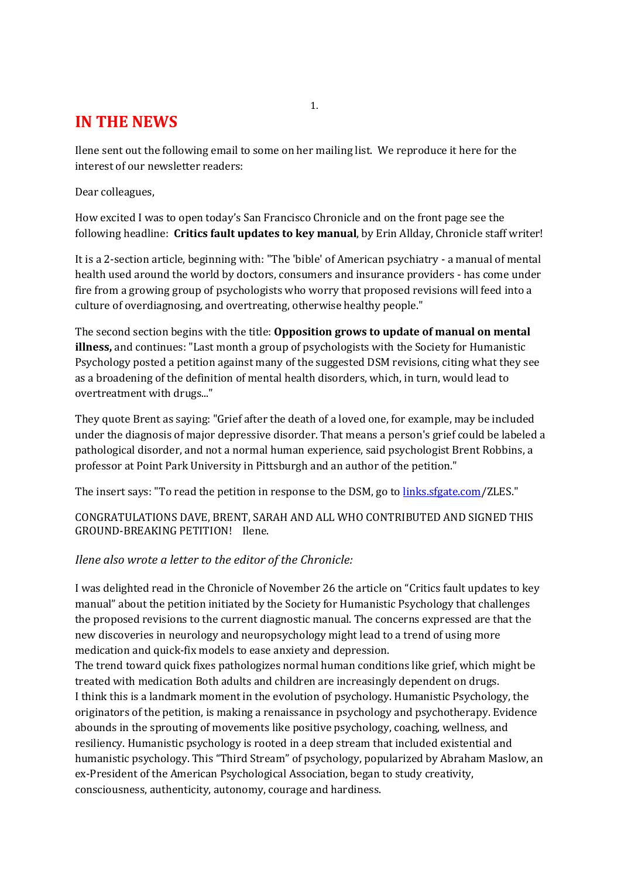## **IN THE NEWS**

Ilene sent out the following email to some on her mailing list. We reproduce it here for the interest of our newsletter readers:

Dear colleagues,

How excited I was to open today's San Francisco Chronicle and on the front page see the following headline: **Critics fault updates to key manual**, by Erin Allday, Chronicle staff writer!

It is a 2-section article, beginning with: "The 'bible' of American psychiatry - a manual of mental health used around the world by doctors, consumers and insurance providers - has come under fire from a growing group of psychologists who worry that proposed revisions will feed into a culture of overdiagnosing, and overtreating, otherwise healthy people."

The second section begins with the title: **Opposition grows to update of manual on mental illness,** and continues: "Last month a group of psychologists with the Society for Humanistic Psychology posted a petition against many of the suggested DSM revisions, citing what they see as a broadening of the definition of mental health disorders, which, in turn, would lead to overtreatment with drugs..."

They quote Brent as saying: "Grief after the death of a loved one, for example, may be included under the diagnosis of major depressive disorder. That means a person's grief could be labeled a pathological disorder, and not a normal human experience, said psychologist Brent Robbins, a professor at Point Park University in Pittsburgh and an author of the petition."

The insert says: "To read the petition in response to the DSM, go t[o links.sfgate.com/](http://links.sfgate.com/)ZLES."

CONGRATULATIONS DAVE, BRENT, SARAH AND ALL WHO CONTRIBUTED AND SIGNED THIS GROUND-BREAKING PETITION! Ilene.

#### *Ilene also wrote a letter to the editor of the Chronicle:*

I was delighted read in the Chronicle of November 26 the article on "Critics fault updates to key manual" about the petition initiated by the Society for Humanistic Psychology that challenges the proposed revisions to the current diagnostic manual. The concerns expressed are that the new discoveries in neurology and neuropsychology might lead to a trend of using more medication and quick-fix models to ease anxiety and depression.

The trend toward quick fixes pathologizes normal human conditions like grief, which might be treated with medication Both adults and children are increasingly dependent on drugs. I think this is a landmark moment in the evolution of psychology. Humanistic Psychology, the originators of the petition, is making a renaissance in psychology and psychotherapy. Evidence abounds in the sprouting of movements like positive psychology, coaching, wellness, and resiliency. Humanistic psychology is rooted in a deep stream that included existential and humanistic psychology. This "Third Stream" of psychology, popularized by Abraham Maslow, an ex-President of the American Psychological Association, began to study creativity, consciousness, authenticity, autonomy, courage and hardiness.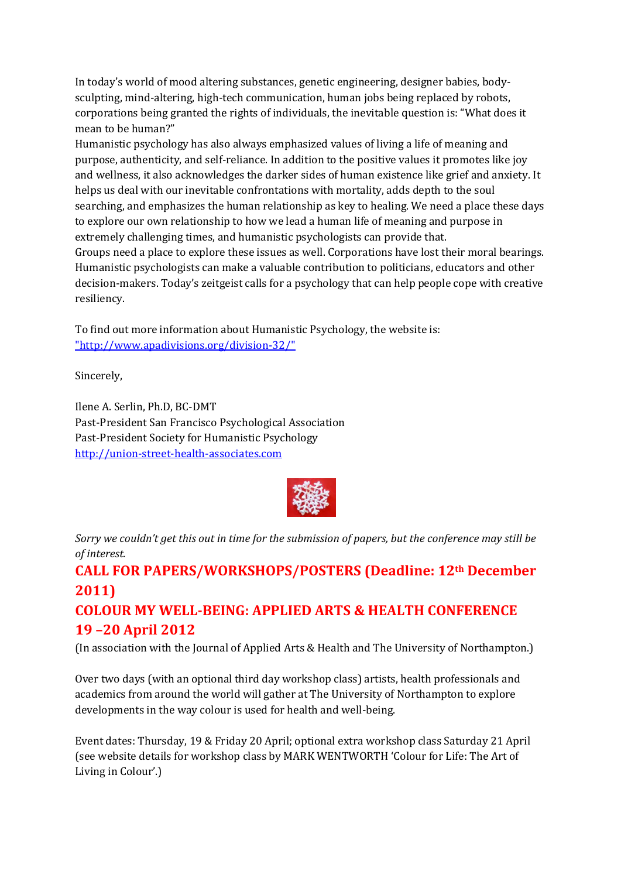In today's world of mood altering substances, genetic engineering, designer babies, bodysculpting, mind-altering, high-tech communication, human jobs being replaced by robots, corporations being granted the rights of individuals, the inevitable question is: "What does it mean to be human?"

Humanistic psychology has also always emphasized values of living a life of meaning and purpose, authenticity, and self-reliance. In addition to the positive values it promotes like joy and wellness, it also acknowledges the darker sides of human existence like grief and anxiety. It helps us deal with our inevitable confrontations with mortality, adds depth to the soul searching, and emphasizes the human relationship as key to healing. We need a place these days to explore our own relationship to how we lead a human life of meaning and purpose in extremely challenging times, and humanistic psychologists can provide that.

Groups need a place to explore these issues as well. Corporations have lost their moral bearings. Humanistic psychologists can make a valuable contribution to politicians, educators and other decision-makers. Today's zeitgeist calls for a psychology that can help people cope with creative resiliency.

To find out more information about Humanistic Psychology, the website is: ["http://www.apadivisions.org/division-32/"](http://www.apadivisions.org/division-32/) 

Sincerely,

Ilene A. Serlin, Ph.D, BC-DMT Past-President San Francisco Psychological Association Past-President Society for Humanistic Psychology [http://union-street-health-associates.com](http://union-street-health-associates.com/)



*Sorry we couldn't get this out in time for the submission of papers, but the conference may still be of interest.* 

**CALL FOR PAPERS/WORKSHOPS/POSTERS (Deadline: 12th December 2011) COLOUR MY WELL-BEING: APPLIED ARTS & HEALTH CONFERENCE 19 –20 April 2012** 

(In association with the Journal of Applied Arts & Health and The University of Northampton.)

Over two days (with an optional third day workshop class) artists, health professionals and academics from around the world will gather at The University of Northampton to explore developments in the way colour is used for health and well-being.

Event dates: Thursday, 19 & Friday 20 April; optional extra workshop class Saturday 21 April (see website details for workshop class by MARK WENTWORTH 'Colour for Life: The Art of Living in Colour'.)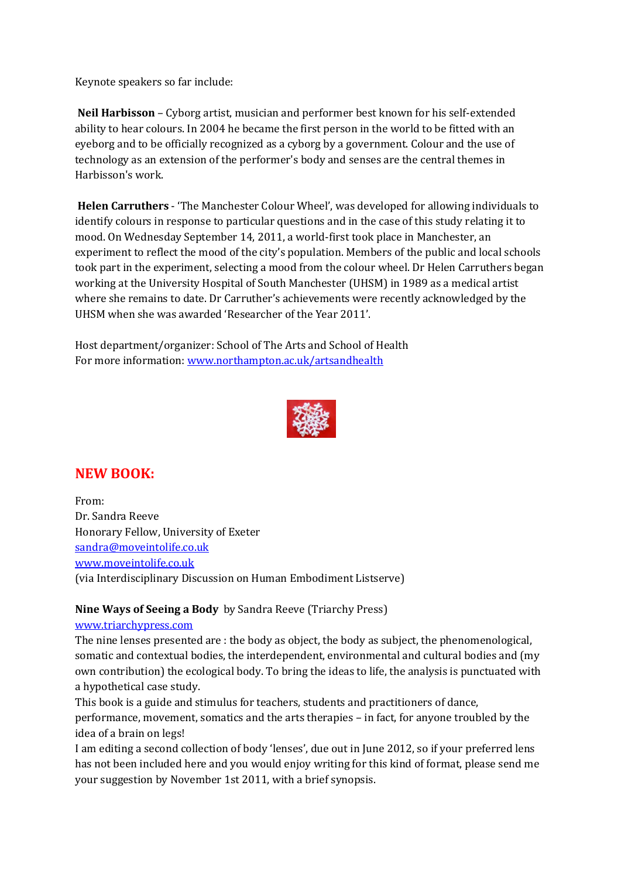Keynote speakers so far include:

 **Neil Harbisson** – Cyborg artist, musician and performer best known for his self-extended ability to hear colours. In 2004 he became the first person in the world to be fitted with an eyeborg and to be officially recognized as a cyborg by a government. Colour and the use of technology as an extension of the performer's body and senses are the central themes in Harbisson's work.

**Helen Carruthers** - 'The Manchester Colour Wheel', was developed for allowing individuals to identify colours in response to particular questions and in the case of this study relating it to mood. On Wednesday September 14, 2011, a world-first took place in Manchester, an experiment to reflect the mood of the city's population. Members of the public and local schools took part in the experiment, selecting a mood from the colour wheel. Dr Helen Carruthers began working at the University Hospital of South Manchester (UHSM) in 1989 as a medical artist where she remains to date. Dr Carruther's achievements were recently acknowledged by the UHSM when she was awarded 'Researcher of the Year 2011'.

Host department/organizer: School of The Arts and School of Health For more information[: www.northampton.ac.uk/artsandhealth](http://www.northampton.ac.uk/artsandhealth)



### **NEW BOOK:**

From: Dr. Sandra Reeve Honorary Fellow, University of Exeter [sandra@moveintolife.co.uk](mailto:sandra@moveintolife.co.uk) [www.moveintolife.co.uk](http://www.moveintolife.co.uk/) (via Interdisciplinary Discussion on Human Embodiment Listserve)

#### **Nine Ways of Seeing a Body** by Sandra Reeve (Triarchy Press)

#### [www.triarchypress.com](http://www.triarchypress.com/)

The nine lenses presented are : the body as object, the body as subject, the phenomenological, somatic and contextual bodies, the interdependent, environmental and cultural bodies and (my own contribution) the ecological body. To bring the ideas to life, the analysis is punctuated with a hypothetical case study.

This book is a guide and stimulus for teachers, students and practitioners of dance, performance, movement, somatics and the arts therapies – in fact, for anyone troubled by the idea of a brain on legs!

I am editing a second collection of body 'lenses', due out in June 2012, so if your preferred lens has not been included here and you would enjoy writing for this kind of format, please send me your suggestion by November 1st 2011, with a brief synopsis.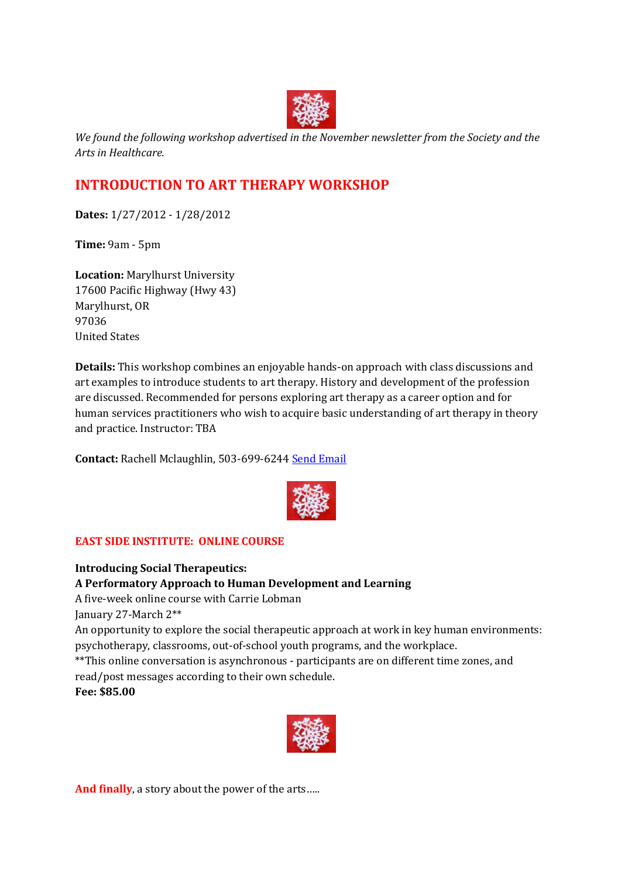

*We found the following workshop advertised in the November newsletter from the Society and the Arts in Healthcare.*

## **INTRODUCTION TO ART THERAPY WORKSHOP**

**Dates:** 1/27/2012 - 1/28/2012

**Time:** 9am - 5pm

**Location:** Marylhurst University 17600 Pacific Highway (Hwy 43) Marylhurst, OR 97036 United States

**Details:** This workshop combines an enjoyable hands-on approach with class discussions and art examples to introduce students to art therapy. History and development of the profession are discussed. Recommended for persons exploring art therapy as a career option and for human services practitioners who wish to acquire basic understanding of art therapy in theory and practice. Instructor: TBA

**Contact:** Rachell Mclaughlin, 503-699-6244 [Send Email](mailto:rmclaughlin@marylhurst.edu) 



#### **EAST SIDE INSTITUTE: ONLINE COURSE**

**Introducing Social Therapeutics: A Performatory Approach to Human Development and Learning** A five-week online course with Carrie Lobman January 27-March 2\*\* An opportunity to explore the social therapeutic approach at work in key human environments: psychotherapy, classrooms, out-of-school youth programs, and the workplace. \*\*This online conversation is asynchronous - participants are on different time zones, and read/post messages according to their own schedule. **Fee: \$85.00** 



**And finally**, a story about the power of the arts…..